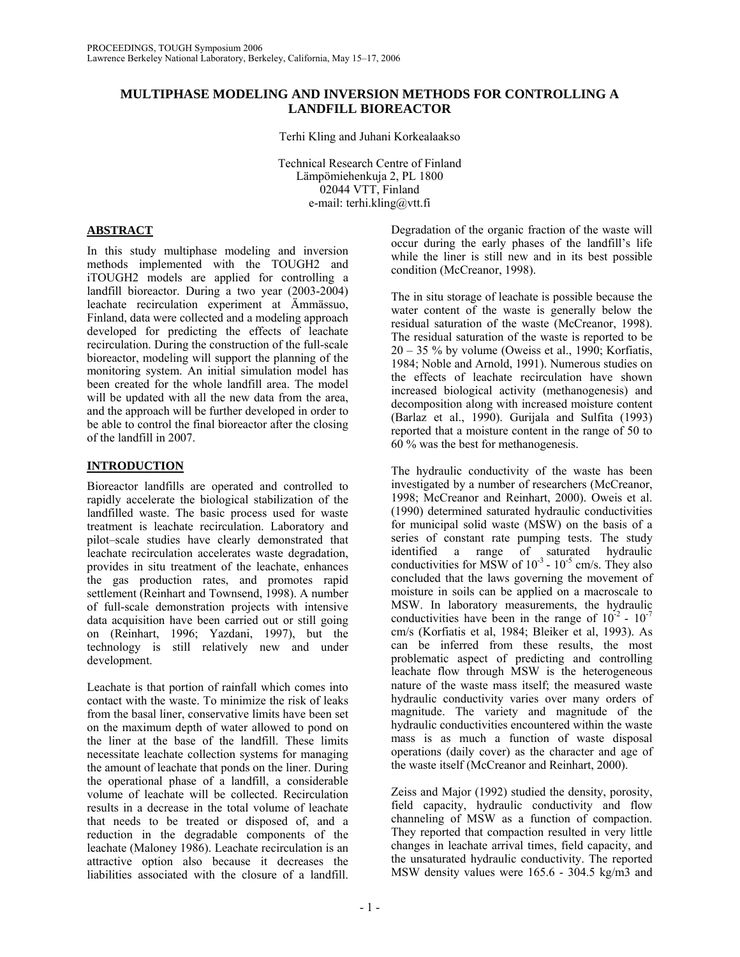# **MULTIPHASE MODELING AND INVERSION METHODS FOR CONTROLLING A LANDFILL BIOREACTOR**

Terhi Kling and Juhani Korkealaakso

Technical Research Centre of Finland Lämpömiehenkuja 2, PL 1800 02044 VTT, Finland e-mail: terhi.kling@vtt.fi

# **ABSTRACT**

In this study multiphase modeling and inversion methods implemented with the TOUGH2 and iTOUGH2 models are applied for controlling a landfill bioreactor. During a two year (2003-2004) leachate recirculation experiment at Ämmässuo, Finland, data were collected and a modeling approach developed for predicting the effects of leachate recirculation. During the construction of the full-scale bioreactor, modeling will support the planning of the monitoring system. An initial simulation model has been created for the whole landfill area. The model will be updated with all the new data from the area, and the approach will be further developed in order to be able to control the final bioreactor after the closing of the landfill in 2007.

# **INTRODUCTION**

Bioreactor landfills are operated and controlled to rapidly accelerate the biological stabilization of the landfilled waste. The basic process used for waste treatment is leachate recirculation. Laboratory and pilot–scale studies have clearly demonstrated that leachate recirculation accelerates waste degradation, provides in situ treatment of the leachate, enhances the gas production rates, and promotes rapid settlement (Reinhart and Townsend, 1998). A number of full-scale demonstration projects with intensive data acquisition have been carried out or still going on (Reinhart, 1996; Yazdani, 1997), but the technology is still relatively new and under development.

Leachate is that portion of rainfall which comes into contact with the waste. To minimize the risk of leaks from the basal liner, conservative limits have been set on the maximum depth of water allowed to pond on the liner at the base of the landfill. These limits necessitate leachate collection systems for managing the amount of leachate that ponds on the liner. During the operational phase of a landfill, a considerable volume of leachate will be collected. Recirculation results in a decrease in the total volume of leachate that needs to be treated or disposed of, and a reduction in the degradable components of the leachate (Maloney 1986). Leachate recirculation is an attractive option also because it decreases the liabilities associated with the closure of a landfill.

Degradation of the organic fraction of the waste will occur during the early phases of the landfill's life while the liner is still new and in its best possible condition (McCreanor, 1998).

The in situ storage of leachate is possible because the water content of the waste is generally below the residual saturation of the waste (McCreanor, 1998). The residual saturation of the waste is reported to be 20 – 35 % by volume (Oweiss et al., 1990; Korfiatis, 1984; Noble and Arnold, 1991). Numerous studies on the effects of leachate recirculation have shown increased biological activity (methanogenesis) and decomposition along with increased moisture content (Barlaz et al., 1990). Gurijala and Sulfita (1993) reported that a moisture content in the range of 50 to 60 % was the best for methanogenesis.

The hydraulic conductivity of the waste has been investigated by a number of researchers (McCreanor, 1998; McCreanor and Reinhart, 2000). Oweis et al. (1990) determined saturated hydraulic conductivities for municipal solid waste (MSW) on the basis of a series of constant rate pumping tests. The study identified a range of saturated hydraulic conductivities for MSW of  $10^{-3}$  -  $10^{-5}$  cm/s. They also concluded that the laws governing the movement of moisture in soils can be applied on a macroscale to MSW. In laboratory measurements, the hydraulic conductivities have been in the range of  $10^{-2}$  -  $10^{-7}$ cm/s (Korfiatis et al, 1984; Bleiker et al, 1993). As can be inferred from these results, the most problematic aspect of predicting and controlling leachate flow through MSW is the heterogeneous nature of the waste mass itself; the measured waste hydraulic conductivity varies over many orders of magnitude. The variety and magnitude of the hydraulic conductivities encountered within the waste mass is as much a function of waste disposal operations (daily cover) as the character and age of the waste itself (McCreanor and Reinhart, 2000).

Zeiss and Major (1992) studied the density, porosity, field capacity, hydraulic conductivity and flow channeling of MSW as a function of compaction. They reported that compaction resulted in very little changes in leachate arrival times, field capacity, and the unsaturated hydraulic conductivity. The reported MSW density values were 165.6 - 304.5 kg/m3 and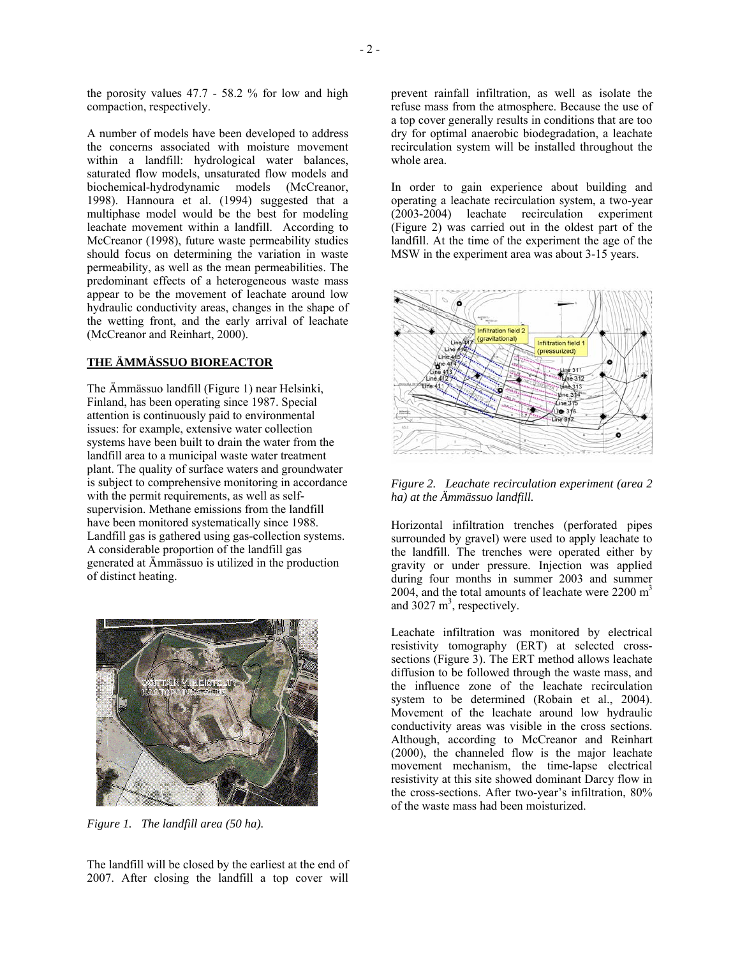the porosity values 47.7 - 58.2 % for low and high compaction, respectively.

A number of models have been developed to address the concerns associated with moisture movement within a landfill: hydrological water balances, saturated flow models, unsaturated flow models and biochemical-hydrodynamic models (McCreanor, 1998). Hannoura et al. (1994) suggested that a multiphase model would be the best for modeling leachate movement within a landfill. According to McCreanor (1998), future waste permeability studies should focus on determining the variation in waste permeability, as well as the mean permeabilities. The predominant effects of a heterogeneous waste mass appear to be the movement of leachate around low hydraulic conductivity areas, changes in the shape of the wetting front, and the early arrival of leachate (McCreanor and Reinhart, 2000).

# **THE ÄMMÄSSUO BIOREACTOR**

The Ämmässuo landfill (Figure 1) near Helsinki, Finland, has been operating since 1987. Special attention is continuously paid to environmental issues: for example, extensive water collection systems have been built to drain the water from the landfill area to a municipal waste water treatment plant. The quality of surface waters and groundwater is subject to comprehensive monitoring in accordance with the permit requirements, as well as selfsupervision. Methane emissions from the landfill have been monitored systematically since 1988. Landfill gas is gathered using gas-collection systems. A considerable proportion of the landfill gas generated at Ämmässuo is utilized in the production of distinct heating.



*Figure 1. The landfill area (50 ha).*

The landfill will be closed by the earliest at the end of 2007. After closing the landfill a top cover will prevent rainfall infiltration, as well as isolate the refuse mass from the atmosphere. Because the use of a top cover generally results in conditions that are too dry for optimal anaerobic biodegradation, a leachate recirculation system will be installed throughout the whole area.

In order to gain experience about building and operating a leachate recirculation system, a two-year (2003-2004) leachate recirculation experiment (Figure 2) was carried out in the oldest part of the landfill. At the time of the experiment the age of the MSW in the experiment area was about 3-15 years.



*Figure 2. Leachate recirculation experiment (area 2 ha) at the Ämmässuo landfill.* 

Horizontal infiltration trenches (perforated pipes surrounded by gravel) were used to apply leachate to the landfill. The trenches were operated either by gravity or under pressure. Injection was applied during four months in summer 2003 and summer 2004, and the total amounts of leachate were  $2200 \text{ m}^3$ and  $3027 \text{ m}^3$ , respectively.

Leachate infiltration was monitored by electrical resistivity tomography (ERT) at selected crosssections (Figure 3). The ERT method allows leachate diffusion to be followed through the waste mass, and the influence zone of the leachate recirculation system to be determined (Robain et al., 2004). Movement of the leachate around low hydraulic conductivity areas was visible in the cross sections. Although, according to McCreanor and Reinhart (2000), the channeled flow is the major leachate movement mechanism, the time-lapse electrical resistivity at this site showed dominant Darcy flow in the cross-sections. After two-year's infiltration, 80% of the waste mass had been moisturized.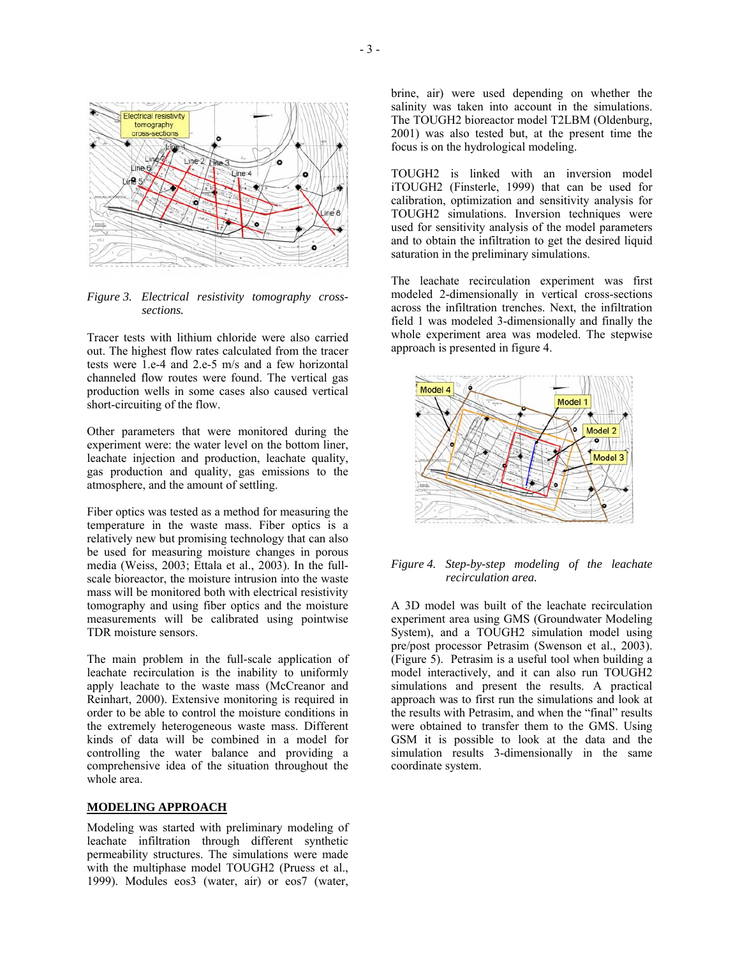

*Figure 3. Electrical resistivity tomography crosssections.* 

Tracer tests with lithium chloride were also carried out. The highest flow rates calculated from the tracer tests were 1.e-4 and 2.e-5 m/s and a few horizontal channeled flow routes were found. The vertical gas production wells in some cases also caused vertical short-circuiting of the flow.

Other parameters that were monitored during the experiment were: the water level on the bottom liner, leachate injection and production, leachate quality, gas production and quality, gas emissions to the atmosphere, and the amount of settling.

Fiber optics was tested as a method for measuring the temperature in the waste mass. Fiber optics is a relatively new but promising technology that can also be used for measuring moisture changes in porous media (Weiss, 2003; Ettala et al., 2003). In the fullscale bioreactor, the moisture intrusion into the waste mass will be monitored both with electrical resistivity tomography and using fiber optics and the moisture measurements will be calibrated using pointwise TDR moisture sensors.

The main problem in the full-scale application of leachate recirculation is the inability to uniformly apply leachate to the waste mass (McCreanor and Reinhart, 2000). Extensive monitoring is required in order to be able to control the moisture conditions in the extremely heterogeneous waste mass. Different kinds of data will be combined in a model for controlling the water balance and providing a comprehensive idea of the situation throughout the whole area.

#### **MODELING APPROACH**

Modeling was started with preliminary modeling of leachate infiltration through different synthetic permeability structures. The simulations were made with the multiphase model TOUGH2 (Pruess et al., 1999). Modules eos3 (water, air) or eos7 (water,

brine, air) were used depending on whether the salinity was taken into account in the simulations. The TOUGH2 bioreactor model T2LBM (Oldenburg, 2001) was also tested but, at the present time the focus is on the hydrological modeling.

TOUGH2 is linked with an inversion model iTOUGH2 (Finsterle, 1999) that can be used for calibration, optimization and sensitivity analysis for TOUGH2 simulations. Inversion techniques were used for sensitivity analysis of the model parameters and to obtain the infiltration to get the desired liquid saturation in the preliminary simulations.

The leachate recirculation experiment was first modeled 2-dimensionally in vertical cross-sections across the infiltration trenches. Next, the infiltration field 1 was modeled 3-dimensionally and finally the whole experiment area was modeled. The stepwise approach is presented in figure 4.



#### *Figure 4. Step-by-step modeling of the leachate recirculation area.*

A 3D model was built of the leachate recirculation experiment area using GMS (Groundwater Modeling System), and a TOUGH2 simulation model using pre/post processor Petrasim (Swenson et al., 2003). (Figure 5). Petrasim is a useful tool when building a model interactively, and it can also run TOUGH2 simulations and present the results. A practical approach was to first run the simulations and look at the results with Petrasim, and when the "final" results were obtained to transfer them to the GMS. Using GSM it is possible to look at the data and the simulation results 3-dimensionally in the same coordinate system.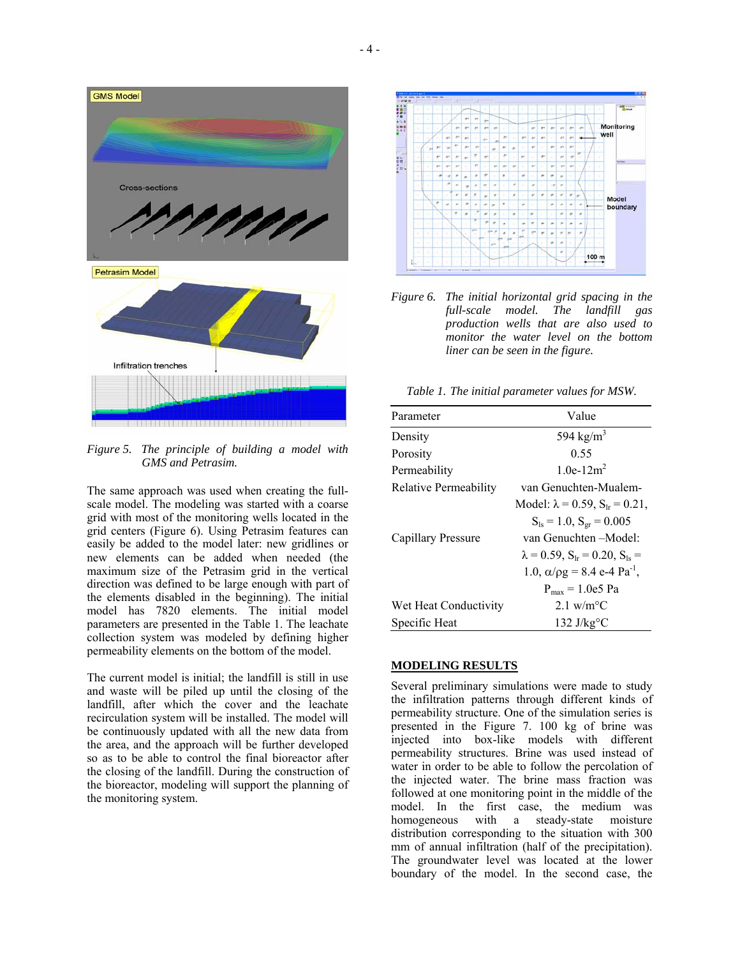

*Figure 5. The principle of building a model with GMS and Petrasim.* 

The same approach was used when creating the fullscale model. The modeling was started with a coarse grid with most of the monitoring wells located in the grid centers (Figure 6). Using Petrasim features can easily be added to the model later: new gridlines or new elements can be added when needed (the maximum size of the Petrasim grid in the vertical direction was defined to be large enough with part of the elements disabled in the beginning). The initial model has 7820 elements. The initial model parameters are presented in the Table 1. The leachate collection system was modeled by defining higher permeability elements on the bottom of the model.

The current model is initial; the landfill is still in use and waste will be piled up until the closing of the landfill, after which the cover and the leachate recirculation system will be installed. The model will be continuously updated with all the new data from the area, and the approach will be further developed so as to be able to control the final bioreactor after the closing of the landfill. During the construction of the bioreactor, modeling will support the planning of the monitoring system.



*Figure 6. The initial horizontal grid spacing in the full-scale model. The landfill gas production wells that are also used to monitor the water level on the bottom liner can be seen in the figure.* 

*Table 1. The initial parameter values for MSW.* 

| Parameter             | Value                                                 |
|-----------------------|-------------------------------------------------------|
|                       |                                                       |
| Density               | 594 kg/ $m3$                                          |
| Porosity              | 0.55                                                  |
| Permeability          | 1.0e-12 $m2$                                          |
| Relative Permeability | van Genuchten-Mualem-                                 |
|                       | Model: $\lambda = 0.59$ , $S_{1r} = 0.21$ ,           |
|                       | $S_{ls} = 1.0$ , $S_{gr} = 0.005$                     |
| Capillary Pressure    | van Genuchten – Model:                                |
|                       | $\lambda = 0.59$ , $S_{1r} = 0.20$ , $S_{1s} =$       |
|                       | 1.0, $\alpha$ / $\rho$ g = 8.4 e-4 Pa <sup>-1</sup> , |
|                       | $P_{max} = 1.0e5$ Pa                                  |
| Wet Heat Conductivity | $2.1 \text{ w/m}^{\circ}$ C                           |
| Specific Heat         | 132 J/kg $\rm{^{\circ}C}$                             |

### **MODELING RESULTS**

Several preliminary simulations were made to study the infiltration patterns through different kinds of permeability structure. One of the simulation series is presented in the Figure 7. 100 kg of brine was injected into box-like models with different permeability structures. Brine was used instead of water in order to be able to follow the percolation of the injected water. The brine mass fraction was followed at one monitoring point in the middle of the model. In the first case, the medium was homogeneous with a steady-state moisture distribution corresponding to the situation with 300 mm of annual infiltration (half of the precipitation). The groundwater level was located at the lower boundary of the model. In the second case, the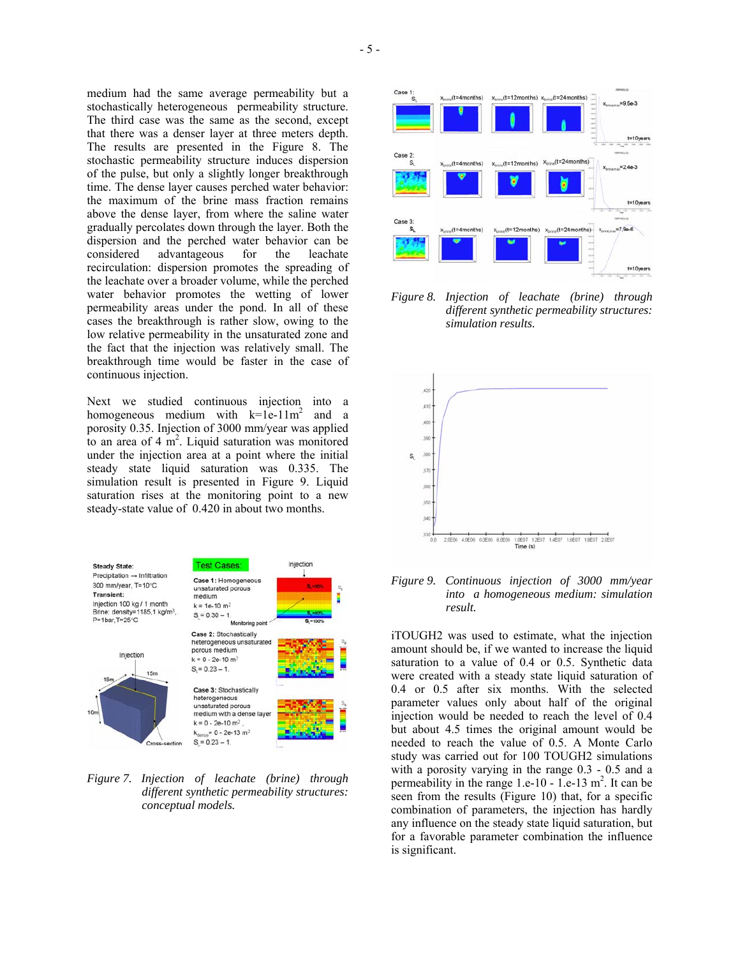medium had the same average permeability but a stochastically heterogeneous permeability structure. The third case was the same as the second, except that there was a denser layer at three meters depth. The results are presented in the Figure 8. The stochastic permeability structure induces dispersion of the pulse, but only a slightly longer breakthrough time. The dense layer causes perched water behavior: the maximum of the brine mass fraction remains above the dense layer, from where the saline water gradually percolates down through the layer. Both the dispersion and the perched water behavior can be considered advantageous for the leachate recirculation: dispersion promotes the spreading of the leachate over a broader volume, while the perched water behavior promotes the wetting of lower permeability areas under the pond. In all of these cases the breakthrough is rather slow, owing to the low relative permeability in the unsaturated zone and the fact that the injection was relatively small. The breakthrough time would be faster in the case of continuous injection.

Next we studied continuous injection into a homogeneous medium with  $k=1e-11m^2$  and a porosity 0.35. Injection of 3000 mm/year was applied to an area of  $4 \text{ m}^2$ . Liquid saturation was monitored under the injection area at a point where the initial steady state liquid saturation was 0.335. The simulation result is presented in Figure 9. Liquid saturation rises at the monitoring point to a new steady-state value of 0.420 in about two months.



*Figure 7. Injection of leachate (brine) through different synthetic permeability structures: conceptual models.* 



*Figure 8. Injection of leachate (brine) through different synthetic permeability structures: simulation results.* 



*Figure 9. Continuous injection of 3000 mm/year into a homogeneous medium: simulation result.* 

iTOUGH2 was used to estimate, what the injection amount should be, if we wanted to increase the liquid saturation to a value of 0.4 or 0.5. Synthetic data were created with a steady state liquid saturation of 0.4 or 0.5 after six months. With the selected parameter values only about half of the original injection would be needed to reach the level of 0.4 but about 4.5 times the original amount would be needed to reach the value of 0.5. A Monte Carlo study was carried out for 100 TOUGH2 simulations with a porosity varying in the range 0.3 - 0.5 and a permeability in the range 1.e-10 - 1.e-13  $m<sup>2</sup>$ . It can be seen from the results (Figure 10) that, for a specific combination of parameters, the injection has hardly any influence on the steady state liquid saturation, but for a favorable parameter combination the influence is significant.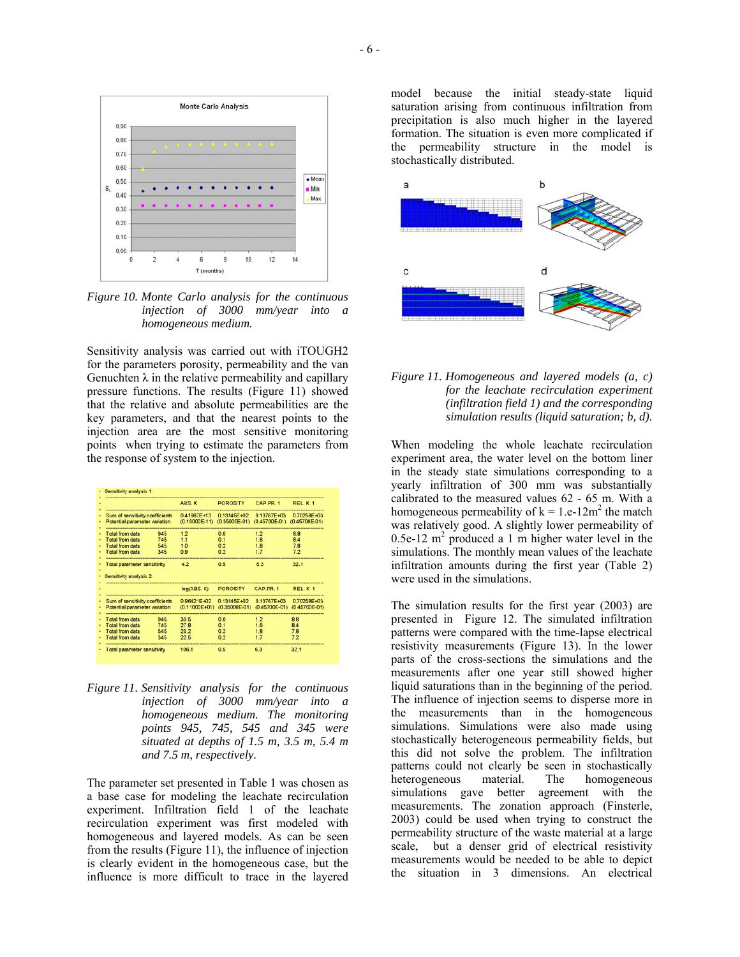

*Figure 10. Monte Carlo analysis for the continuous injection of 3000 mm/year into a homogeneous medium.* 

Sensitivity analysis was carried out with iTOUGH2 for the parameters porosity, permeability and the van Genuchten  $\lambda$  in the relative permeability and capillary pressure functions. The results (Figure 11) showed that the relative and absolute permeabilities are the key parameters, and that the nearest points to the injection area are the most sensitive monitoring points when trying to estimate the parameters from the response of system to the injection.

|                                                                  |     | ABS K                                                   | <b>POROSITY</b>                                                                    | CAP PR. 1   | REL K 1           |
|------------------------------------------------------------------|-----|---------------------------------------------------------|------------------------------------------------------------------------------------|-------------|-------------------|
| Sum of sensitivity coefficients                                  |     | 0.41667E+13                                             | 0.13145E+02                                                                        | 0.13767E+03 | 0.70258E+03       |
| Potential parameter variation                                    |     | (0.10000E-11) (0.35000E-01) (0.45700E-01) (0.45700E-01) |                                                                                    |             |                   |
| Total from data                                                  | 945 | 1.2                                                     | 0.0                                                                                | 1.2         | 8.8               |
| Total from data                                                  | 745 | 11                                                      | 0.1                                                                                | 16          | A                 |
| Total from data                                                  | 545 | 1.0                                                     | 0.2                                                                                | 1B          | 7B                |
| Total from data                                                  | 345 | 0.9                                                     | 02                                                                                 | 17          | 72                |
| Total parameter sensitivity<br>Sensitivity analysis 2.           |     | 4.2                                                     | 0.5                                                                                | 6.3         | 32.1              |
|                                                                  |     |                                                         |                                                                                    |             |                   |
|                                                                  |     | log(ABS, K)                                             | <b>POROSITY</b>                                                                    | CAP.PR.1    | REL.K1            |
| Sum of sensitivity coefficients<br>Potential parameter variation |     |                                                         | 0.96421E+02 0.13145E+02<br>(0.11000E+01) (0.35000E-01) (0.45700E-01) (0.45700E-01) | 0.13767E+03 |                   |
| Total from data                                                  | 945 | 30.5                                                    | 0.0                                                                                | 1.2         | 8.8               |
| Total from data                                                  | 745 | 27.8                                                    | 0.1                                                                                | 1.6         | 0.70258E+03<br>84 |
| <b>Total from data</b>                                           | 545 | 25.2                                                    | 0.2                                                                                | 1.8         | 7.8               |
| <b>Total from data</b>                                           | 345 | 22.5                                                    | 0.2                                                                                | 1.7         | 7.2               |

*Figure 11. Sensitivity analysis for the continuous injection of 3000 mm/year into a homogeneous medium. The monitoring points 945, 745, 545 and 345 were situated at depths of 1.5 m, 3.5 m, 5.4 m and 7.5 m, respectively.* 

The parameter set presented in Table 1 was chosen as a base case for modeling the leachate recirculation experiment. Infiltration field 1 of the leachate recirculation experiment was first modeled with homogeneous and layered models. As can be seen from the results (Figure 11), the influence of injection is clearly evident in the homogeneous case, but the influence is more difficult to trace in the layered

model because the initial steady-state liquid saturation arising from continuous infiltration from precipitation is also much higher in the layered formation. The situation is even more complicated if the permeability structure in the model is stochastically distributed.



*Figure 11. Homogeneous and layered models (a, c) for the leachate recirculation experiment (infiltration field 1) and the corresponding simulation results (liquid saturation; b, d).* 

When modeling the whole leachate recirculation experiment area, the water level on the bottom liner in the steady state simulations corresponding to a yearly infiltration of 300 mm was substantially calibrated to the measured values 62 - 65 m. With a homogeneous permeability of  $k = 1.e-12m^2$  the match was relatively good. A slightly lower permeability of 0.5e-12  $m<sup>2</sup>$  produced a 1 m higher water level in the simulations. The monthly mean values of the leachate infiltration amounts during the first year (Table 2) were used in the simulations.

The simulation results for the first year (2003) are presented in Figure 12. The simulated infiltration patterns were compared with the time-lapse electrical resistivity measurements (Figure 13). In the lower parts of the cross-sections the simulations and the measurements after one year still showed higher liquid saturations than in the beginning of the period. The influence of injection seems to disperse more in the measurements than in the homogeneous simulations. Simulations were also made using stochastically heterogeneous permeability fields, but this did not solve the problem. The infiltration patterns could not clearly be seen in stochastically heterogeneous material. The homogeneous simulations gave better agreement with the measurements. The zonation approach (Finsterle, 2003) could be used when trying to construct the permeability structure of the waste material at a large scale, but a denser grid of electrical resistivity measurements would be needed to be able to depict the situation in 3 dimensions. An electrical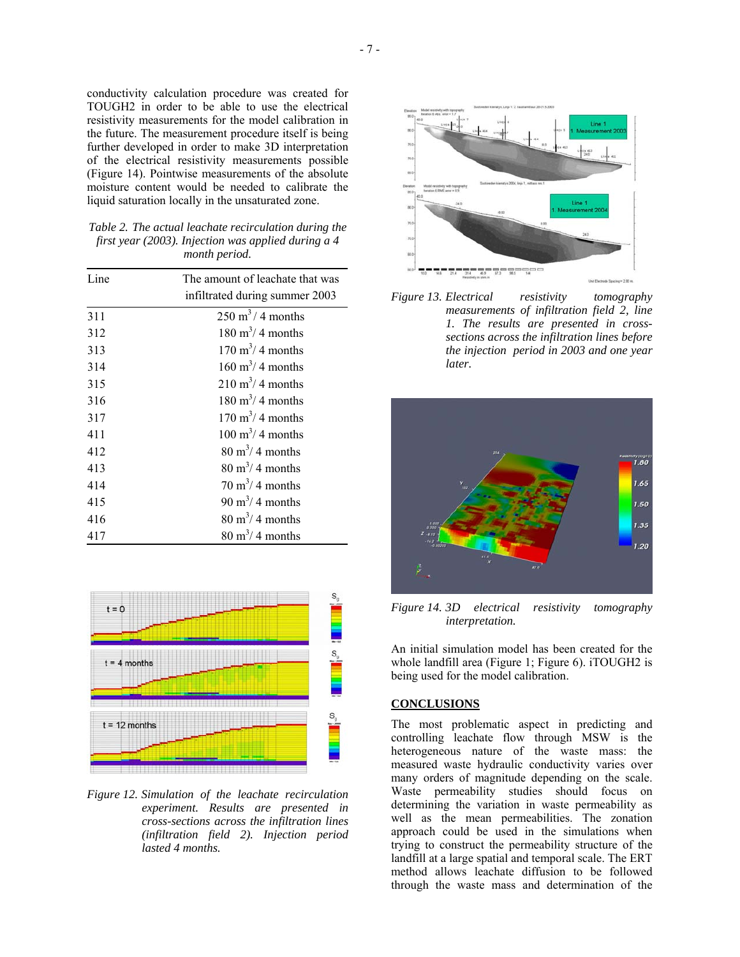conductivity calculation procedure was created for TOUGH2 in order to be able to use the electrical resistivity measurements for the model calibration in the future. The measurement procedure itself is being further developed in order to make 3D interpretation of the electrical resistivity measurements possible (Figure 14). Pointwise measurements of the absolute moisture content would be needed to calibrate the liquid saturation locally in the unsaturated zone.

| Table 2. The actual leachate recirculation during the |
|-------------------------------------------------------|
| first year (2003). Injection was applied during a 4   |
| <i>month period.</i>                                  |

| Line | The amount of leachate that was |
|------|---------------------------------|
|      | infiltrated during summer 2003  |
| 311  | $250 \text{ m}^3/4$ months      |
| 312  | $180 \text{ m}^3/4$ months      |
| 313  | $170 \text{ m}^3/4$ months      |
| 314  | $160 \text{ m}^3/4$ months      |
| 315  | $210 \text{ m}^3/4$ months      |
| 316  | $180 \text{ m}^3/4$ months      |
| 317  | $170 \text{ m}^3$ / 4 months    |
| 411  | $100 \text{ m}^3/4$ months      |
| 412  | $80 \text{ m}^3$ / 4 months     |
| 413  | $80 \text{ m}^3/4$ months       |
| 414  | $70 \text{ m}^3/4$ months       |
| 415  | $90 \text{ m}^3/4$ months       |
| 416  | $80 \text{ m}^3/4$ months       |
| 417  | $80 \text{ m}^3$ / 4 months     |



*Figure 12. Simulation of the leachate recirculation experiment. Results are presented in cross-sections across the infiltration lines (infiltration field 2). Injection period lasted 4 months.* 



*Figure 13. Electrical resistivity tomography measurements of infiltration field 2, line 1. The results are presented in crosssections across the infiltration lines before the injection period in 2003 and one year later.* 



*Figure 14. 3D electrical resistivity tomography interpretation.* 

An initial simulation model has been created for the whole landfill area (Figure 1; Figure 6). iTOUGH2 is being used for the model calibration.

## **CONCLUSIONS**

The most problematic aspect in predicting and controlling leachate flow through MSW is the heterogeneous nature of the waste mass: the measured waste hydraulic conductivity varies over many orders of magnitude depending on the scale. Waste permeability studies should focus on determining the variation in waste permeability as well as the mean permeabilities. The zonation approach could be used in the simulations when trying to construct the permeability structure of the landfill at a large spatial and temporal scale. The ERT method allows leachate diffusion to be followed through the waste mass and determination of the